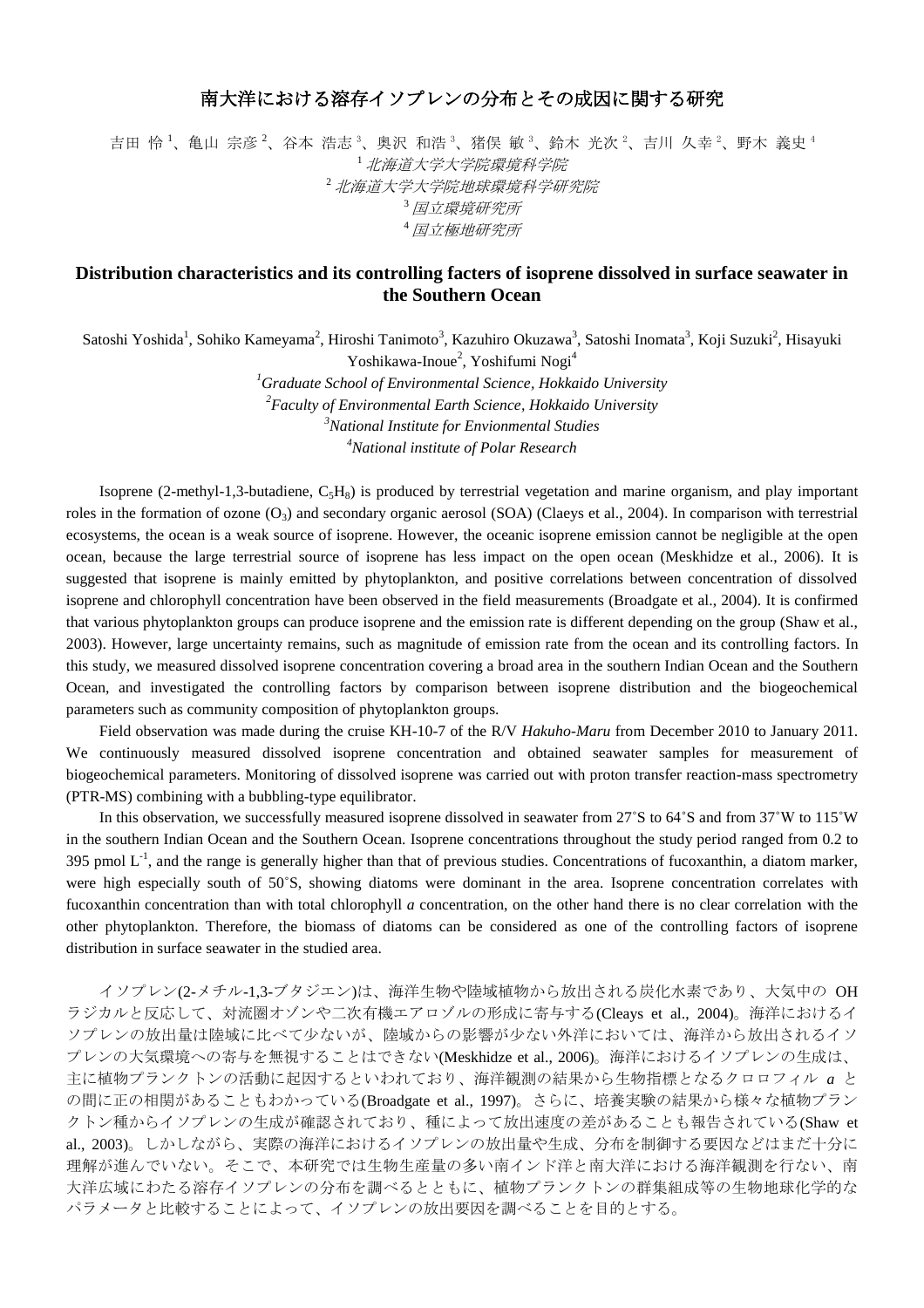## 南大洋における溶存イソプレンの分布とその成因に関する研究

吉田 怜 <sup>1</sup>、亀山 宗彦 <sup>2</sup>、谷本 浩志 <sup>3</sup>、奥沢 和浩 <sup>3</sup>、猪俣 敏 <sup>3</sup>、鈴木 光次 <sup>2</sup>、吉川 久幸 <sup>2</sup>、野木 義史 4 <sup>1</sup>北海道大学大学院環境科学院 <sup>2</sup>北海道大学大学院地球環境科学研究院 <sup>3</sup>国立環境研究所 <sup>4</sup>国立極地研究所

## **Distribution characteristics and its controlling facters of isoprene dissolved in surface seawater in the Southern Ocean**

Satoshi Yoshida<sup>1</sup>, Sohiko Kameyama<sup>2</sup>, Hiroshi Tanimoto<sup>3</sup>, Kazuhiro Okuzawa<sup>3</sup>, Satoshi Inomata<sup>3</sup>, Koji Suzuki<sup>2</sup>, Hisayuki Yoshikawa-Inoue<sup>2</sup>, Yoshifumi Nogi<sup>4</sup>

> *Graduate School of Environmental Science, Hokkaido University Faculty of Environmental Earth Science, Hokkaido University National Institute for Envionmental Studies National institute of Polar Research*

Isoprene (2-methyl-1,3-butadiene,  $C_5H_8$ ) is produced by terrestrial vegetation and marine organism, and play important roles in the formation of ozone  $(O_3)$  and secondary organic aerosol (SOA) (Claeys et al., 2004). In comparison with terrestrial ecosystems, the ocean is a weak source of isoprene. However, the oceanic isoprene emission cannot be negligible at the open ocean, because the large terrestrial source of isoprene has less impact on the open ocean (Meskhidze et al., 2006). It is suggested that isoprene is mainly emitted by phytoplankton, and positive correlations between concentration of dissolved isoprene and chlorophyll concentration have been observed in the field measurements (Broadgate et al., 2004). It is confirmed that various phytoplankton groups can produce isoprene and the emission rate is different depending on the group (Shaw et al., 2003). However, large uncertainty remains, such as magnitude of emission rate from the ocean and its controlling factors. In this study, we measured dissolved isoprene concentration covering a broad area in the southern Indian Ocean and the Southern Ocean, and investigated the controlling factors by comparison between isoprene distribution and the biogeochemical parameters such as community composition of phytoplankton groups.

Field observation was made during the cruise KH-10-7 of the R/V *Hakuho-Maru* from December 2010 to January 2011. We continuously measured dissolved isoprene concentration and obtained seawater samples for measurement of biogeochemical parameters. Monitoring of dissolved isoprene was carried out with proton transfer reaction-mass spectrometry (PTR-MS) combining with a bubbling-type equilibrator.

In this observation, we successfully measured isoprene dissolved in seawater from 27˚S to 64˚S and from 37˚W to 115˚W in the southern Indian Ocean and the Southern Ocean. Isoprene concentrations throughout the study period ranged from 0.2 to 395 pmol  $L^{-1}$ , and the range is generally higher than that of previous studies. Concentrations of fucoxanthin, a diatom marker, were high especially south of 50°S, showing diatoms were dominant in the area. Isoprene concentration correlates with fucoxanthin concentration than with total chlorophyll *a* concentration, on the other hand there is no clear correlation with the other phytoplankton. Therefore, the biomass of diatoms can be considered as one of the controlling factors of isoprene distribution in surface seawater in the studied area.

イソプレン(2-メチル-1,3-ブタジエン)は、海洋生物や陸域植物から放出される炭化水素であり、大気中の OH ラジカルと反応して、対流圏オゾンや二次有機エアロゾルの形成に寄与する(Cleays et al., 2004)。海洋におけるイ ソプレンの放出量は陸域に比べて少ないが、陸域からの影響が少ない外洋においては、海洋から放出されるイソ プレンの大気環境への寄与を無視することはできない(Meskhidze et al., 2006)。海洋におけるイソプレンの生成は、 主に植物プランクトンの活動に起因するといわれており、海洋観測の結果から生物指標となるクロロフィル *a* と の間に正の相関があることもわかっている(Broadgate et al., 1997)。さらに、培養実験の結果から様々な植物プラン クトン種からイソプレンの生成が確認されており、種によって放出速度の差があることも報告されている(Shaw et al., 2003)。しかしながら、実際の海洋におけるイソプレンの放出量や生成、分布を制御する要因などはまだ十分に 理解が進んでいない。そこで、本研究では生物生産量の多い南インド洋と南大洋における海洋観測を行ない、南 大洋広域にわたる溶存イソプレンの分布を調べるとともに、植物プランクトンの群集組成等の生物地球化学的な パラメータと比較することによって、イソプレンの放出要因を調べることを目的とする。